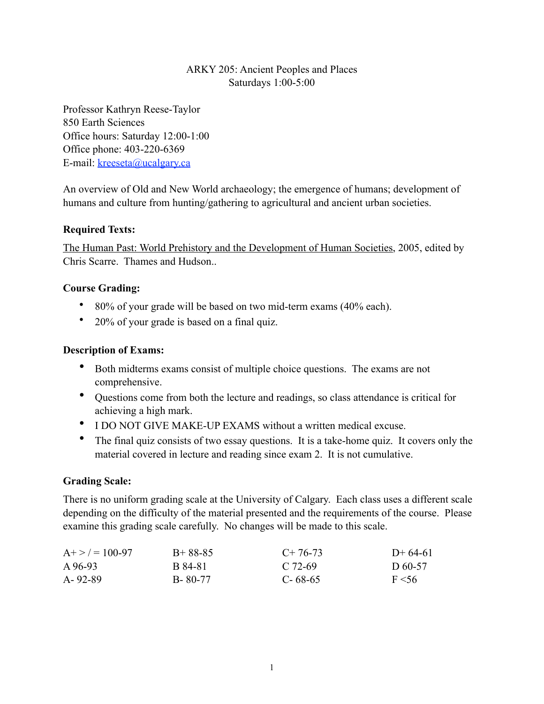# ARKY 205: Ancient Peoples and Places Saturdays 1:00-5:00

Professor Kathryn Reese-Taylor 850 Earth Sciences Office hours: Saturday 12:00-1:00 Office phone: 403-220-6369 E-mail: [kreeseta@ucalgary.ca](mailto:k_reesetaylor@yahoo.com)

An overview of Old and New World archaeology; the emergence of humans; development of humans and culture from hunting/gathering to agricultural and ancient urban societies.

## **Required Texts:**

The Human Past: World Prehistory and the Development of Human Societies, 2005, edited by Chris Scarre. Thames and Hudson..

### **Course Grading:**

- 80% of your grade will be based on two mid-term exams (40% each).
- 20% of your grade is based on a final quiz.

### **Description of Exams:**

- Both midterms exams consist of multiple choice questions. The exams are not comprehensive.
- Questions come from both the lecture and readings, so class attendance is critical for achieving a high mark.
- I DO NOT GIVE MAKE-UP EXAMS without a written medical excuse.
- The final quiz consists of two essay questions. It is a take-home quiz. It covers only the material covered in lecture and reading since exam 2. It is not cumulative.

### **Grading Scale:**

There is no uniform grading scale at the University of Calgary. Each class uses a different scale depending on the difficulty of the material presented and the requirements of the course. Please examine this grading scale carefully. No changes will be made to this scale.

| $A + > = 100-97$ | $B+88-85$ | $C+76-73$     | $D+64-61$  |
|------------------|-----------|---------------|------------|
| A 96-93          | B 84-81   | C 72-69       | D 60-57    |
| A-92-89          | B-80-77   | $C - 68 - 65$ | $F \le 56$ |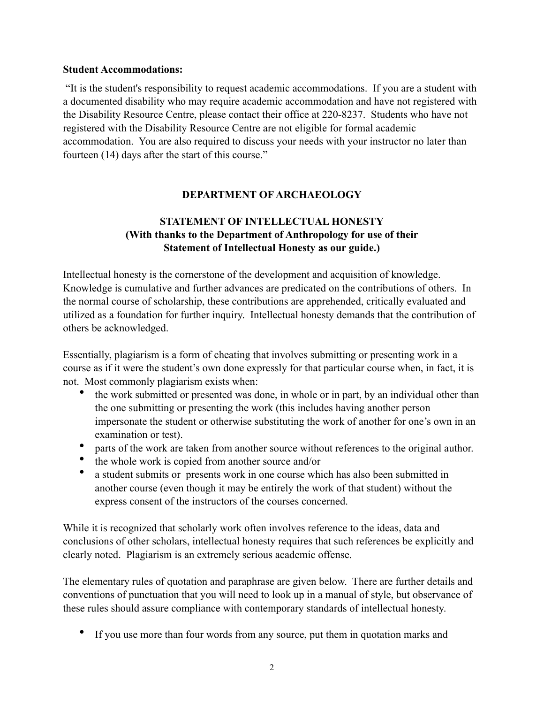#### **Student Accommodations:**

 "It is the student's responsibility to request academic accommodations. If you are a student with a documented disability who may require academic accommodation and have not registered with the Disability Resource Centre, please contact their office at 220-8237. Students who have not registered with the Disability Resource Centre are not eligible for formal academic accommodation. You are also required to discuss your needs with your instructor no later than fourteen (14) days after the start of this course."

# **DEPARTMENT OF ARCHAEOLOGY**

# **STATEMENT OF INTELLECTUAL HONESTY (With thanks to the Department of Anthropology for use of their Statement of Intellectual Honesty as our guide.)**

Intellectual honesty is the cornerstone of the development and acquisition of knowledge. Knowledge is cumulative and further advances are predicated on the contributions of others. In the normal course of scholarship, these contributions are apprehended, critically evaluated and utilized as a foundation for further inquiry. Intellectual honesty demands that the contribution of others be acknowledged.

Essentially, plagiarism is a form of cheating that involves submitting or presenting work in a course as if it were the student's own done expressly for that particular course when, in fact, it is not. Most commonly plagiarism exists when:

- the work submitted or presented was done, in whole or in part, by an individual other than the one submitting or presenting the work (this includes having another person impersonate the student or otherwise substituting the work of another for one's own in an examination or test).
- parts of the work are taken from another source without references to the original author.
- the whole work is copied from another source and/or
- a student submits or presents work in one course which has also been submitted in another course (even though it may be entirely the work of that student) without the express consent of the instructors of the courses concerned.

While it is recognized that scholarly work often involves reference to the ideas, data and conclusions of other scholars, intellectual honesty requires that such references be explicitly and clearly noted. Plagiarism is an extremely serious academic offense.

The elementary rules of quotation and paraphrase are given below. There are further details and conventions of punctuation that you will need to look up in a manual of style, but observance of these rules should assure compliance with contemporary standards of intellectual honesty.

If you use more than four words from any source, put them in quotation marks and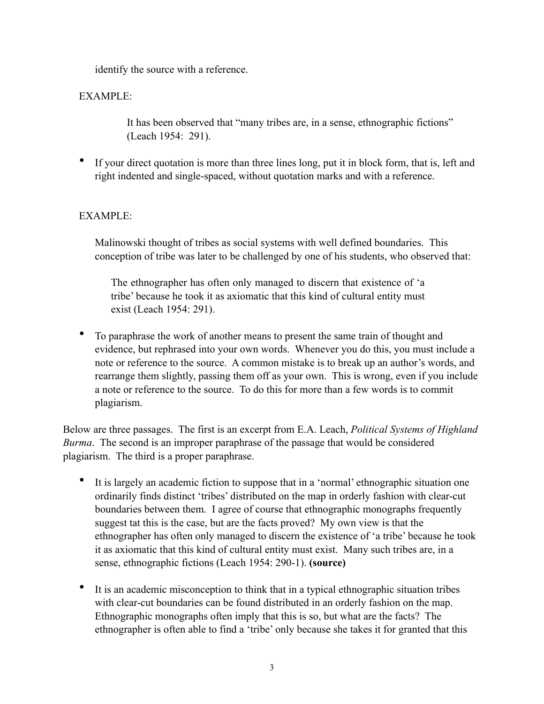identify the source with a reference.

# EXAMPLE:

 It has been observed that "many tribes are, in a sense, ethnographic fictions" (Leach 1954: 291).

• If your direct quotation is more than three lines long, put it in block form, that is, left and right indented and single-spaced, without quotation marks and with a reference.

### EXAMPLE:

Malinowski thought of tribes as social systems with well defined boundaries. This conception of tribe was later to be challenged by one of his students, who observed that:

The ethnographer has often only managed to discern that existence of 'a tribe' because he took it as axiomatic that this kind of cultural entity must exist (Leach 1954: 291).

• To paraphrase the work of another means to present the same train of thought and evidence, but rephrased into your own words. Whenever you do this, you must include a note or reference to the source. A common mistake is to break up an author's words, and rearrange them slightly, passing them off as your own. This is wrong, even if you include a note or reference to the source. To do this for more than a few words is to commit plagiarism.

Below are three passages. The first is an excerpt from E.A. Leach, *Political Systems of Highland Burma*. The second is an improper paraphrase of the passage that would be considered plagiarism. The third is a proper paraphrase.

- It is largely an academic fiction to suppose that in a 'normal' ethnographic situation one ordinarily finds distinct 'tribes' distributed on the map in orderly fashion with clear-cut boundaries between them. I agree of course that ethnographic monographs frequently suggest tat this is the case, but are the facts proved? My own view is that the ethnographer has often only managed to discern the existence of 'a tribe' because he took it as axiomatic that this kind of cultural entity must exist. Many such tribes are, in a sense, ethnographic fictions (Leach 1954: 290-1). **(source)**
- It is an academic misconception to think that in a typical ethnographic situation tribes with clear-cut boundaries can be found distributed in an orderly fashion on the map. Ethnographic monographs often imply that this is so, but what are the facts? The ethnographer is often able to find a 'tribe' only because she takes it for granted that this